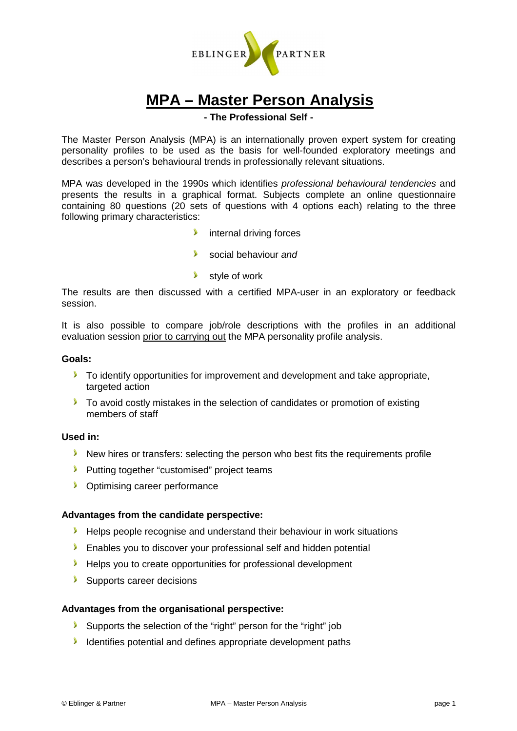

# **MPA – Master Person Analysis**

## **- The Professional Self -**

The Master Person Analysis (MPA) is an internationally proven expert system for creating personality profiles to be used as the basis for well-founded exploratory meetings and describes a person's behavioural trends in professionally relevant situations.

MPA was developed in the 1990s which identifies professional behavioural tendencies and presents the results in a graphical format. Subjects complete an online questionnaire containing 80 questions (20 sets of questions with 4 options each) relating to the three following primary characteristics:

- **internal driving forces**
- social behaviour and
- **Style of work**

The results are then discussed with a certified MPA-user in an exploratory or feedback session.

It is also possible to compare job/role descriptions with the profiles in an additional evaluation session prior to carrying out the MPA personality profile analysis.

### **Goals:**

- **To identify opportunities for improvement and development and take appropriate.** targeted action
- To avoid costly mistakes in the selection of candidates or promotion of existing members of staff

#### **Used in:**

- New hires or transfers: selecting the person who best fits the requirements profile
- **Putting together "customised" project teams**
- **Continuising career performance**

#### **Advantages from the candidate perspective:**

- Helps people recognise and understand their behaviour in work situations
- **Enables you to discover your professional self and hidden potential**
- Helps you to create opportunities for professional development
- Supports career decisions

## **Advantages from the organisational perspective:**

- Supports the selection of the "right" person for the "right" job
- Identifies potential and defines appropriate development paths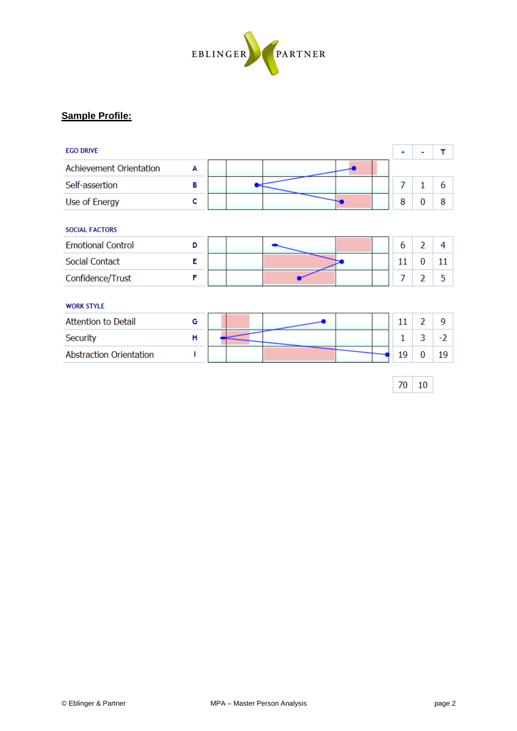

# **Sample Profile:**

| <b>EGO DRIVE</b>               |   |  |  | ÷  | ۰              | т    |
|--------------------------------|---|--|--|----|----------------|------|
| Achievement Orientation        | A |  |  |    |                |      |
| Self-assertion                 | в |  |  | 7  | 1              | 6    |
| Use of Energy                  | c |  |  | 8  | 0              | 8    |
| <b>SOCIAL FACTORS</b>          |   |  |  |    |                |      |
| <b>Emotional Control</b>       | D |  |  | 6  | $\overline{2}$ | 4    |
| Social Contact                 | E |  |  | 11 | 0              | 11   |
| Confidence/Trust               | F |  |  | 7  | 2              | 5    |
| <b>WORK STYLE</b>              |   |  |  |    |                |      |
| <b>Attention to Detail</b>     | G |  |  | 11 | $\overline{2}$ | 9    |
| Security                       | н |  |  | 1  | 3              | $-2$ |
| <b>Abstraction Orientation</b> |   |  |  | 19 | 0              | 19   |

 $70 \mid 10$